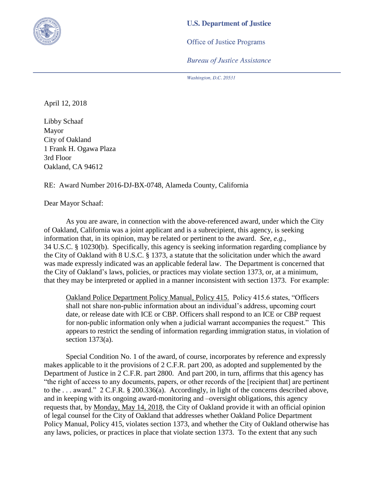

## **U.S. Department of Justice**

**Office of Justice Programs** 

**Bureau of Justice Assistance** 

Washington, D.C. 20531

April 12, 2018

Libby Schaaf Mayor City of Oakland 1 Frank H. Ogawa Plaza 3rd Floor Oakland, CA 94612

RE: Award Number 2016-DJ-BX-0748, Alameda County, California

Dear Mayor Schaaf:

As you are aware, in connection with the above-referenced award, under which the City of Oakland, California was a joint applicant and is a subrecipient, this agency, is seeking information that, in its opinion, may be related or pertinent to the award. *See*, *e.g.*, 34 U.S.C. § 10230(b). Specifically, this agency is seeking information regarding compliance by the City of Oakland with 8 U.S.C. § 1373, a statute that the solicitation under which the award was made expressly indicated was an applicable federal law. The Department is concerned that the City of Oakland's laws, policies, or practices may violate section 1373, or, at a minimum, that they may be interpreted or applied in a manner inconsistent with section 1373. For example:

Oakland Police Department Policy Manual, Policy 415. Policy 415.6 states, "Officers shall not share non-public information about an individual's address, upcoming court date, or release date with ICE or CBP. Officers shall respond to an ICE or CBP request for non-public information only when a judicial warrant accompanies the request." This appears to restrict the sending of information regarding immigration status, in violation of section 1373(a).

Special Condition No. 1 of the award, of course, incorporates by reference and expressly makes applicable to it the provisions of 2 C.F.R. part 200, as adopted and supplemented by the Department of Justice in 2 C.F.R. part 2800. And part 200, in turn, affirms that this agency has "the right of access to any documents, papers, or other records of the [recipient that] are pertinent to the . . . award." 2 C.F.R. § 200.336(a). Accordingly, in light of the concerns described above, and in keeping with its ongoing award-monitoring and –oversight obligations, this agency requests that, by Monday, May 14, 2018, the City of Oakland provide it with an official opinion of legal counsel for the City of Oakland that addresses whether Oakland Police Department Policy Manual, Policy 415, violates section 1373, and whether the City of Oakland otherwise has any laws, policies, or practices in place that violate section 1373. To the extent that any such